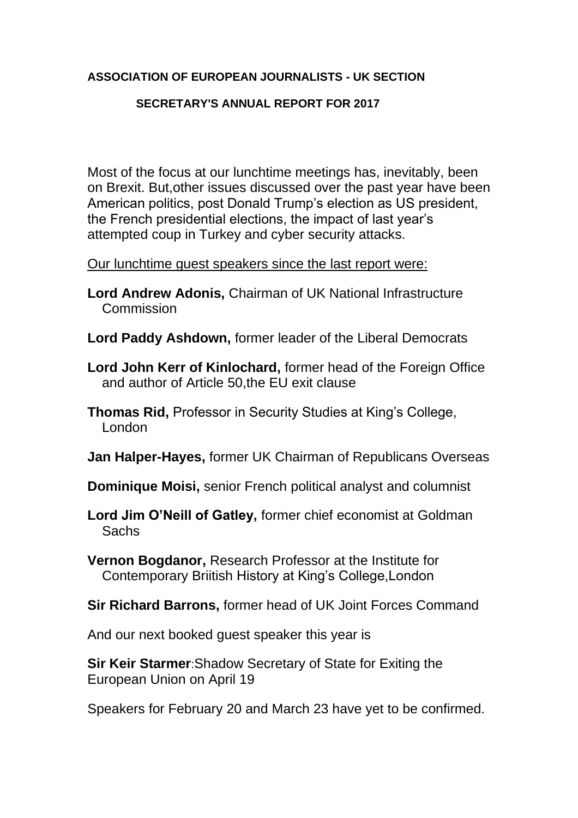## **ASSOCIATION OF EUROPEAN JOURNALISTS - UK SECTION**

## **SECRETARY'S ANNUAL REPORT FOR 2017**

Most of the focus at our lunchtime meetings has, inevitably, been on Brexit. But,other issues discussed over the past year have been American politics, post Donald Trump's election as US president, the French presidential elections, the impact of last year's attempted coup in Turkey and cyber security attacks.

## Our lunchtime guest speakers since the last report were:

- **Lord Andrew Adonis,** Chairman of UK National Infrastructure Commission
- **Lord Paddy Ashdown,** former leader of the Liberal Democrats
- **Lord John Kerr of Kinlochard,** former head of the Foreign Office and author of Article 50,the EU exit clause
- **Thomas Rid,** Professor in Security Studies at King's College, London
- **Jan Halper-Hayes,** former UK Chairman of Republicans Overseas
- **Dominique Moisi,** senior French political analyst and columnist
- **Lord Jim O'Neill of Gatley,** former chief economist at Goldman **Sachs**
- **Vernon Bogdanor,** Research Professor at the Institute for Contemporary Briitish History at King's College,London
- **Sir Richard Barrons,** former head of UK Joint Forces Command

And our next booked guest speaker this year is

**Sir Keir Starmer**:Shadow Secretary of State for Exiting the European Union on April 19

Speakers for February 20 and March 23 have yet to be confirmed.